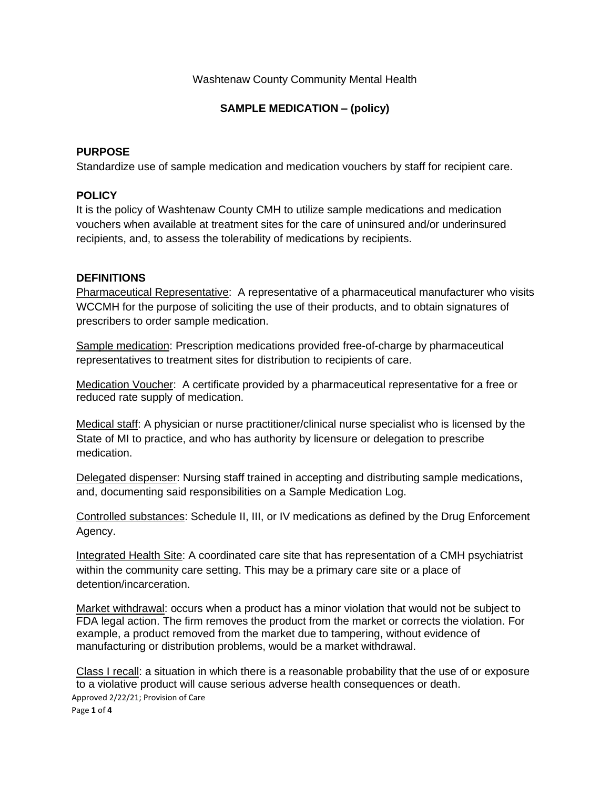## Washtenaw County Community Mental Health

## **SAMPLE MEDICATION – (policy)**

## **PURPOSE**

Standardize use of sample medication and medication vouchers by staff for recipient care.

## **POLICY**

It is the policy of Washtenaw County CMH to utilize sample medications and medication vouchers when available at treatment sites for the care of uninsured and/or underinsured recipients, and, to assess the tolerability of medications by recipients.

## **DEFINITIONS**

Pharmaceutical Representative: A representative of a pharmaceutical manufacturer who visits WCCMH for the purpose of soliciting the use of their products, and to obtain signatures of prescribers to order sample medication.

Sample medication: Prescription medications provided free-of-charge by pharmaceutical representatives to treatment sites for distribution to recipients of care.

Medication Voucher: A certificate provided by a pharmaceutical representative for a free or reduced rate supply of medication.

Medical staff: A physician or nurse practitioner/clinical nurse specialist who is licensed by the State of MI to practice, and who has authority by licensure or delegation to prescribe medication.

Delegated dispenser: Nursing staff trained in accepting and distributing sample medications, and, documenting said responsibilities on a Sample Medication Log.

Controlled substances: Schedule II, III, or IV medications as defined by the Drug Enforcement Agency.

Integrated Health Site: A coordinated care site that has representation of a CMH psychiatrist within the community care setting. This may be a primary care site or a place of detention/incarceration.

Market withdrawal: occurs when a product has a minor violation that would not be subject to FDA legal action. The firm removes the product from the market or corrects the violation. For example, a product removed from the market due to tampering, without evidence of manufacturing or distribution problems, would be a market withdrawal.

Approved 2/22/21; Provision of Care Page **1** of **4** Class I recall: a situation in which there is a reasonable probability that the use of or exposure to a violative product will cause serious adverse health consequences or death.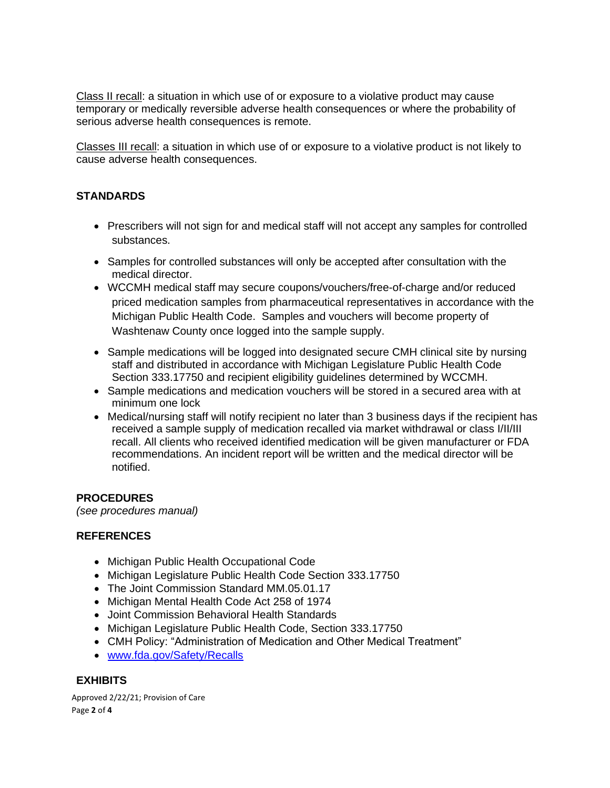Class II recall: a situation in which use of or exposure to a violative product may cause temporary or medically reversible adverse health consequences or where the probability of serious adverse health consequences is remote.

Classes III recall: a situation in which use of or exposure to a violative product is not likely to cause adverse health consequences.

## **STANDARDS**

- Prescribers will not sign for and medical staff will not accept any samples for controlled substances.
- Samples for controlled substances will only be accepted after consultation with the medical director.
- WCCMH medical staff may secure coupons/vouchers/free-of-charge and/or reduced priced medication samples from pharmaceutical representatives in accordance with the Michigan Public Health Code. Samples and vouchers will become property of Washtenaw County once logged into the sample supply.
- Sample medications will be logged into designated secure CMH clinical site by nursing staff and distributed in accordance with Michigan Legislature Public Health Code Section 333.17750 and recipient eligibility guidelines determined by WCCMH.
- Sample medications and medication vouchers will be stored in a secured area with at minimum one lock
- Medical/nursing staff will notify recipient no later than 3 business days if the recipient has received a sample supply of medication recalled via market withdrawal or class I/II/III recall. All clients who received identified medication will be given manufacturer or FDA recommendations. An incident report will be written and the medical director will be notified.

## **PROCEDURES**

*(see procedures manual)*

## **REFERENCES**

- Michigan Public Health Occupational Code
- Michigan Legislature Public Health Code Section 333.17750
- The Joint Commission Standard MM.05.01.17
- Michigan Mental Health Code Act 258 of 1974
- Joint Commission Behavioral Health Standards
- Michigan Legislature Public Health Code, Section 333.17750
- CMH Policy: "Administration of Medication and Other Medical Treatment"
- [www.fda.gov/Safety/Recalls](http://www.fda.gov/Safety/Recalls)

## **EXHIBITS**

Approved 2/22/21; Provision of Care Page **2** of **4**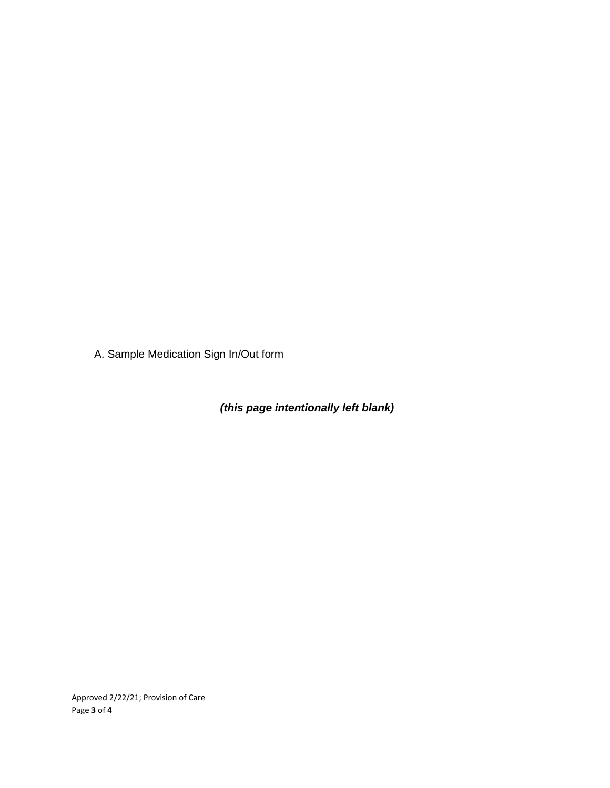A. Sample Medication Sign In/Out form

*(this page intentionally left blank)*

Approved 2/22/21; Provision of Care Page **3** of **4**